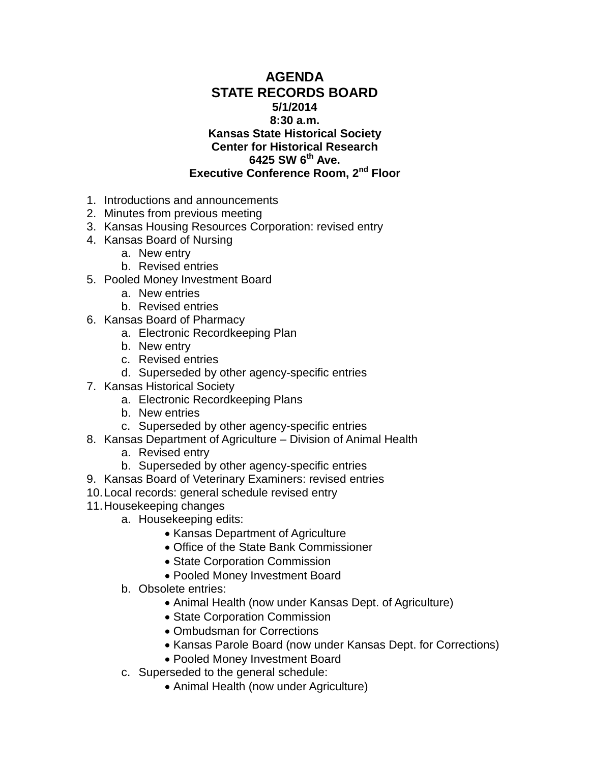## **AGENDA STATE RECORDS BOARD 5/1/2014 8:30 a.m. Kansas State Historical Society Center for Historical Research 6425 SW 6th Ave. Executive Conference Room, 2nd Floor**

- 1. Introductions and announcements
- 2. Minutes from previous meeting
- 3. Kansas Housing Resources Corporation: revised entry
- 4. Kansas Board of Nursing
	- a. New entry
	- b. Revised entries
- 5. Pooled Money Investment Board
	- a. New entries
	- b. Revised entries
- 6. Kansas Board of Pharmacy
	- a. Electronic Recordkeeping Plan
	- b. New entry
	- c. Revised entries
	- d. Superseded by other agency-specific entries
- 7. Kansas Historical Society
	- a. Electronic Recordkeeping Plans
	- b. New entries
	- c. Superseded by other agency-specific entries
- 8. Kansas Department of Agriculture Division of Animal Health
	- a. Revised entry
	- b. Superseded by other agency-specific entries
- 9. Kansas Board of Veterinary Examiners: revised entries
- 10.Local records: general schedule revised entry
- 11.Housekeeping changes
	- a. Housekeeping edits:
		- Kansas Department of Agriculture
		- Office of the State Bank Commissioner
		- State Corporation Commission
		- Pooled Money Investment Board
	- b. Obsolete entries:
		- Animal Health (now under Kansas Dept. of Agriculture)
		- State Corporation Commission
		- Ombudsman for Corrections
		- Kansas Parole Board (now under Kansas Dept. for Corrections)
		- Pooled Money Investment Board
	- c. Superseded to the general schedule:
		- Animal Health (now under Agriculture)